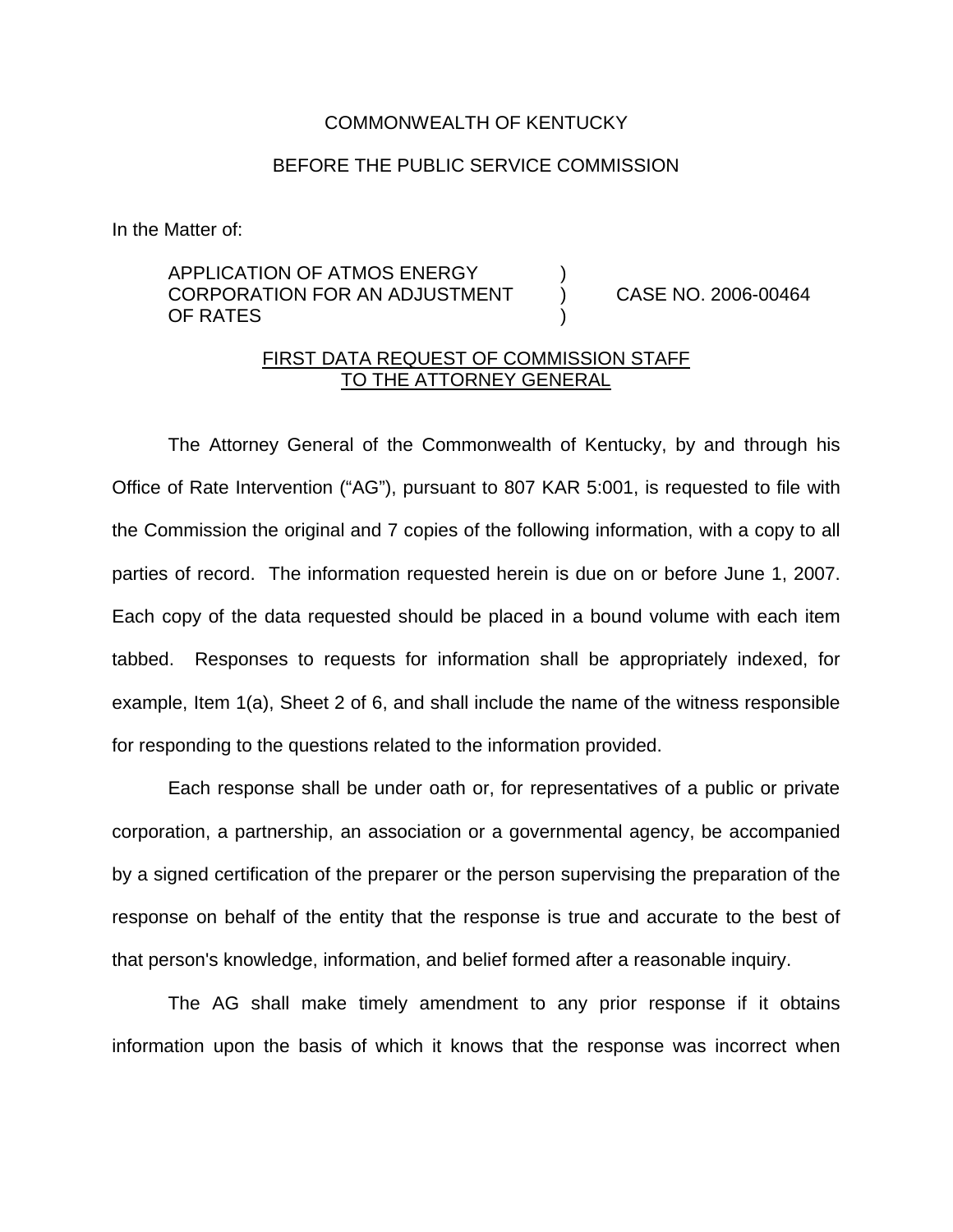## COMMONWEALTH OF KENTUCKY

## BEFORE THE PUBLIC SERVICE COMMISSION

In the Matter of:

## APPLICATION OF ATMOS ENERGY ) CORPORATION FOR AN ADJUSTMENT ) CASE NO. 2006-00464 OF RATES

## FIRST DATA REQUEST OF COMMISSION STAFF TO THE ATTORNEY GENERAL

The Attorney General of the Commonwealth of Kentucky, by and through his Office of Rate Intervention ("AG"), pursuant to 807 KAR 5:001, is requested to file with the Commission the original and 7 copies of the following information, with a copy to all parties of record. The information requested herein is due on or before June 1, 2007. Each copy of the data requested should be placed in a bound volume with each item tabbed. Responses to requests for information shall be appropriately indexed, for example, Item 1(a), Sheet 2 of 6, and shall include the name of the witness responsible for responding to the questions related to the information provided.

Each response shall be under oath or, for representatives of a public or private corporation, a partnership, an association or a governmental agency, be accompanied by a signed certification of the preparer or the person supervising the preparation of the response on behalf of the entity that the response is true and accurate to the best of that person's knowledge, information, and belief formed after a reasonable inquiry.

The AG shall make timely amendment to any prior response if it obtains information upon the basis of which it knows that the response was incorrect when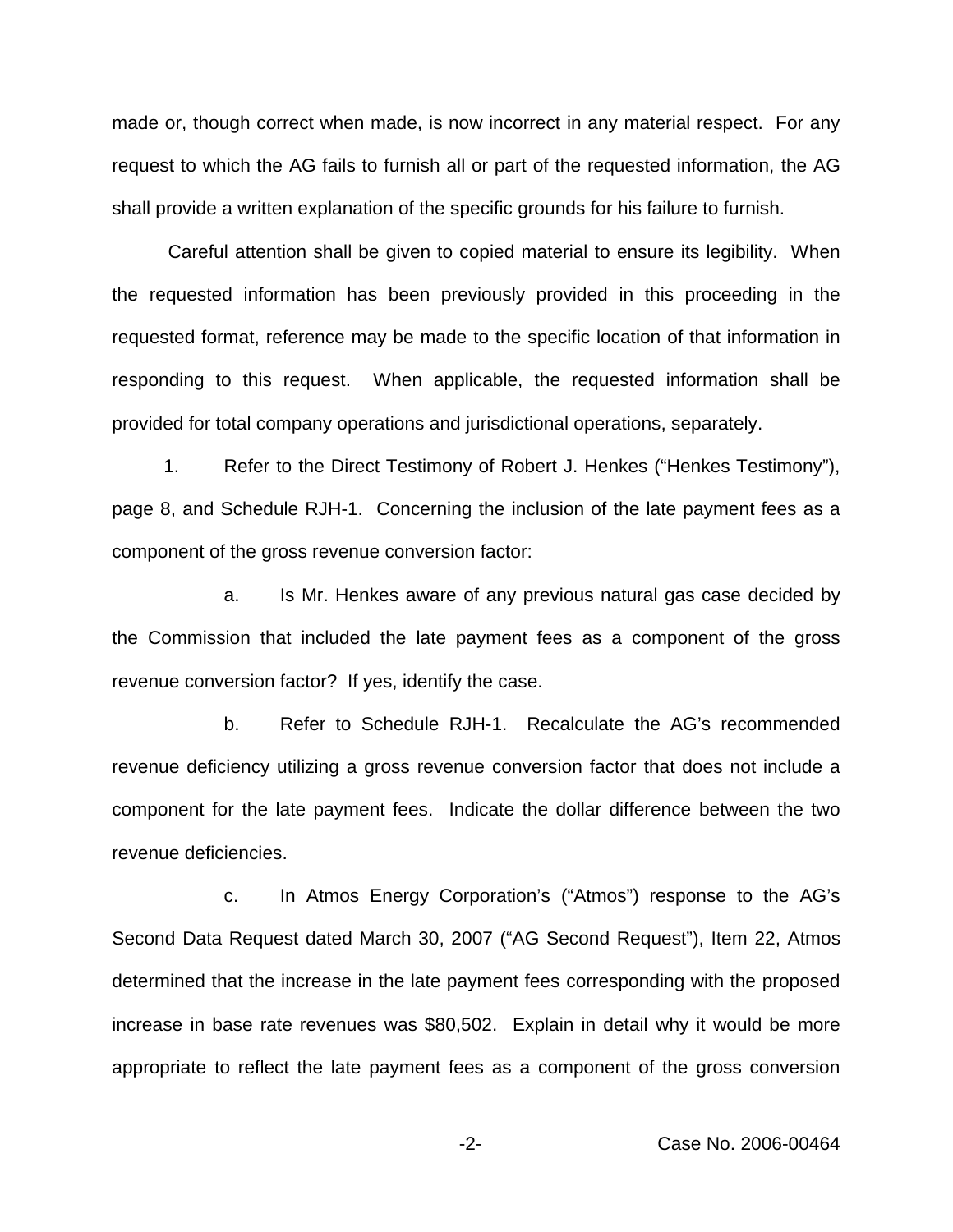made or, though correct when made, is now incorrect in any material respect. For any request to which the AG fails to furnish all or part of the requested information, the AG shall provide a written explanation of the specific grounds for his failure to furnish.

Careful attention shall be given to copied material to ensure its legibility. When the requested information has been previously provided in this proceeding in the requested format, reference may be made to the specific location of that information in responding to this request. When applicable, the requested information shall be provided for total company operations and jurisdictional operations, separately.

1. Refer to the Direct Testimony of Robert J. Henkes ("Henkes Testimony"), page 8, and Schedule RJH-1. Concerning the inclusion of the late payment fees as a component of the gross revenue conversion factor:

a. Is Mr. Henkes aware of any previous natural gas case decided by the Commission that included the late payment fees as a component of the gross revenue conversion factor? If yes, identify the case.

b. Refer to Schedule RJH-1. Recalculate the AG's recommended revenue deficiency utilizing a gross revenue conversion factor that does not include a component for the late payment fees. Indicate the dollar difference between the two revenue deficiencies.

c. In Atmos Energy Corporation's ("Atmos") response to the AG's Second Data Request dated March 30, 2007 ("AG Second Request"), Item 22, Atmos determined that the increase in the late payment fees corresponding with the proposed increase in base rate revenues was \$80,502. Explain in detail why it would be more appropriate to reflect the late payment fees as a component of the gross conversion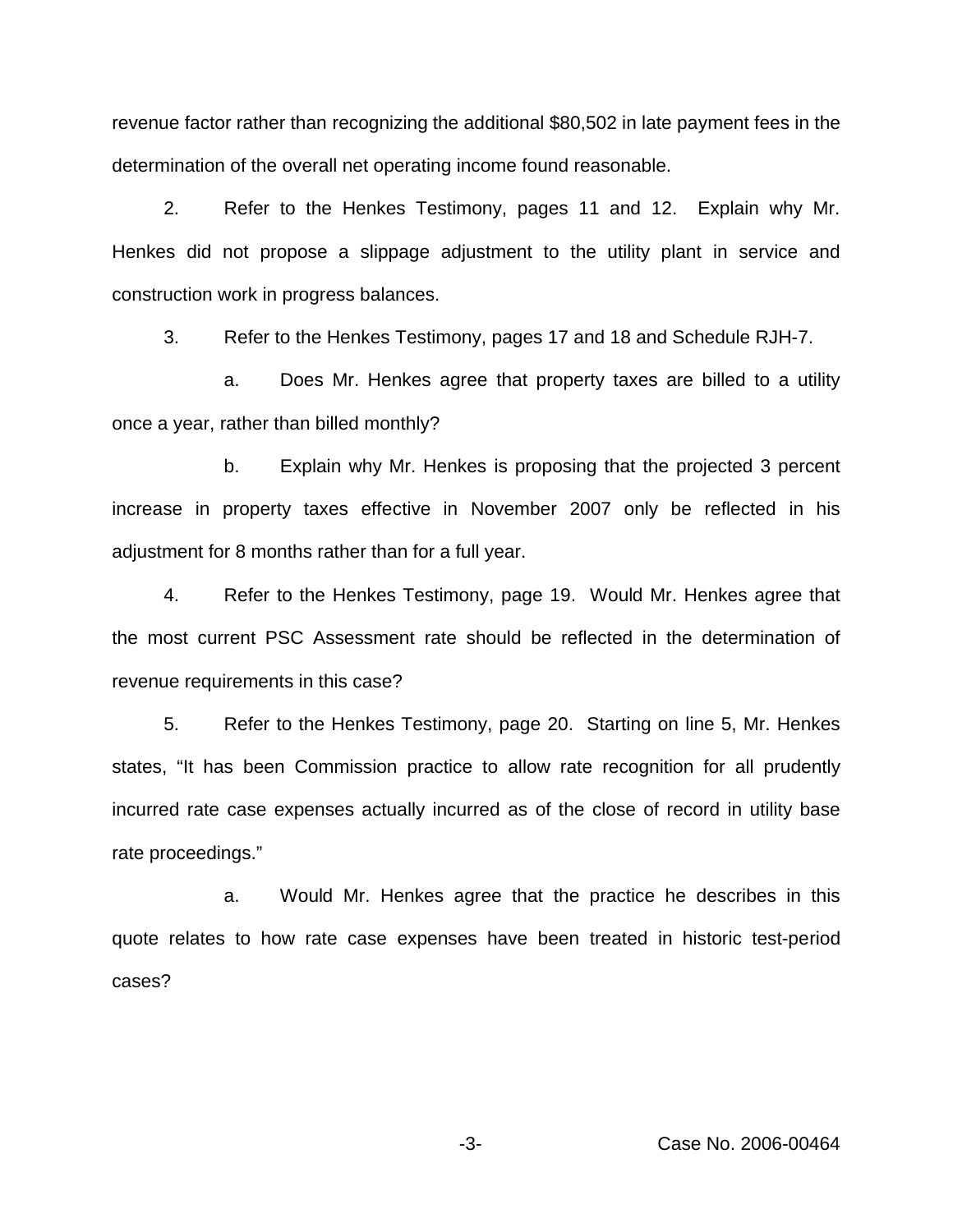revenue factor rather than recognizing the additional \$80,502 in late payment fees in the determination of the overall net operating income found reasonable.

2. Refer to the Henkes Testimony, pages 11 and 12. Explain why Mr. Henkes did not propose a slippage adjustment to the utility plant in service and construction work in progress balances.

3. Refer to the Henkes Testimony, pages 17 and 18 and Schedule RJH-7.

a. Does Mr. Henkes agree that property taxes are billed to a utility once a year, rather than billed monthly?

b. Explain why Mr. Henkes is proposing that the projected 3 percent increase in property taxes effective in November 2007 only be reflected in his adjustment for 8 months rather than for a full year.

4. Refer to the Henkes Testimony, page 19. Would Mr. Henkes agree that the most current PSC Assessment rate should be reflected in the determination of revenue requirements in this case?

5. Refer to the Henkes Testimony, page 20. Starting on line 5, Mr. Henkes states, "It has been Commission practice to allow rate recognition for all prudently incurred rate case expenses actually incurred as of the close of record in utility base rate proceedings."

a. Would Mr. Henkes agree that the practice he describes in this quote relates to how rate case expenses have been treated in historic test-period cases?

-3- Case No. 2006-00464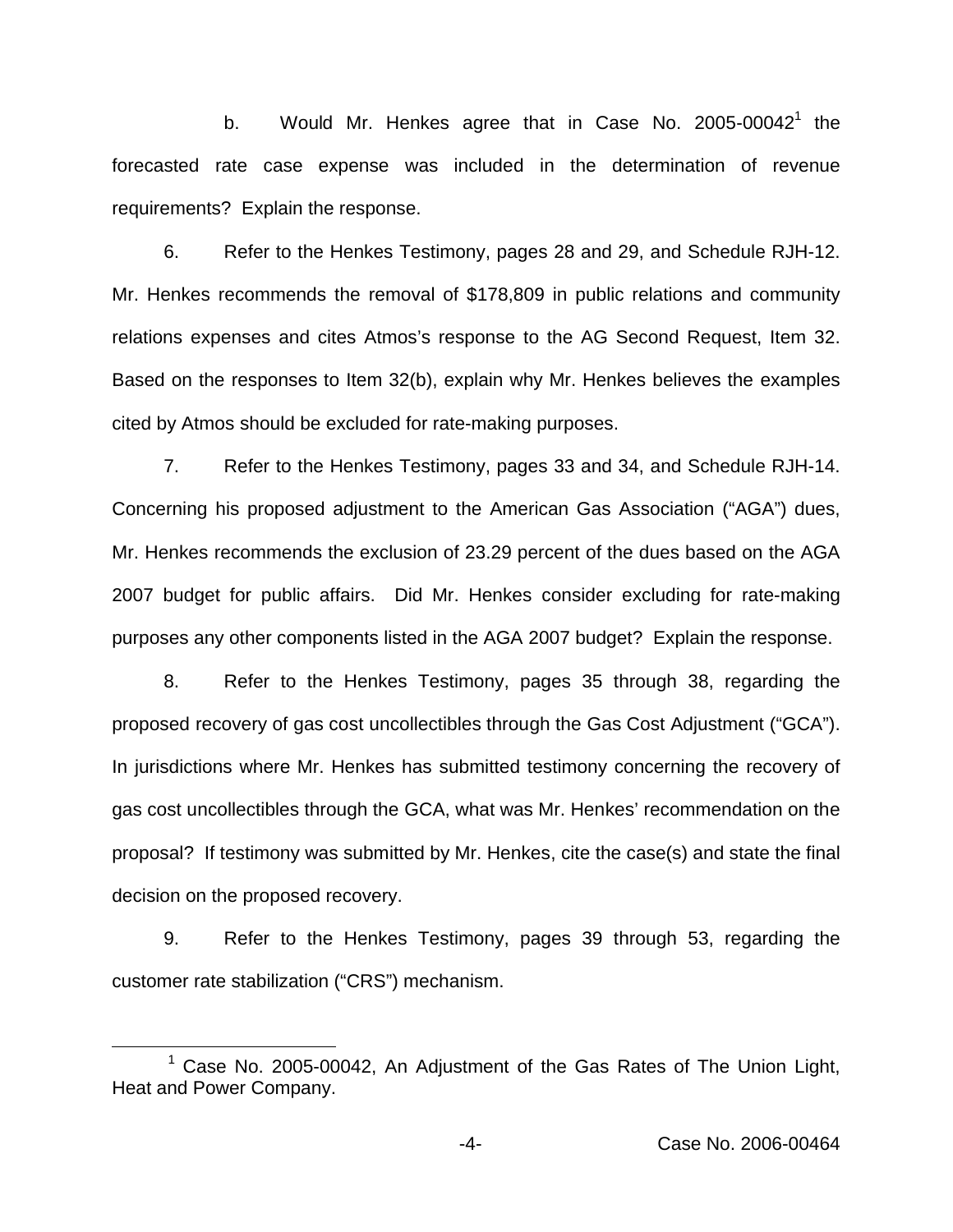b. Would Mr. Henkes agree that in Case No. 2005-00042<sup>1</sup> the forecasted rate case expense was included in the determination of revenue requirements? Explain the response.

6. Refer to the Henkes Testimony, pages 28 and 29, and Schedule RJH-12. Mr. Henkes recommends the removal of \$178,809 in public relations and community relations expenses and cites Atmos's response to the AG Second Request, Item 32. Based on the responses to Item 32(b), explain why Mr. Henkes believes the examples cited by Atmos should be excluded for rate-making purposes.

7. Refer to the Henkes Testimony, pages 33 and 34, and Schedule RJH-14. Concerning his proposed adjustment to the American Gas Association ("AGA") dues, Mr. Henkes recommends the exclusion of 23.29 percent of the dues based on the AGA 2007 budget for public affairs. Did Mr. Henkes consider excluding for rate-making purposes any other components listed in the AGA 2007 budget? Explain the response.

8. Refer to the Henkes Testimony, pages 35 through 38, regarding the proposed recovery of gas cost uncollectibles through the Gas Cost Adjustment ("GCA"). In jurisdictions where Mr. Henkes has submitted testimony concerning the recovery of gas cost uncollectibles through the GCA, what was Mr. Henkes' recommendation on the proposal? If testimony was submitted by Mr. Henkes, cite the case(s) and state the final decision on the proposed recovery.

9. Refer to the Henkes Testimony, pages 39 through 53, regarding the customer rate stabilization ("CRS") mechanism.

<sup>&</sup>lt;sup>1</sup> Case No. 2005-00042, An Adjustment of the Gas Rates of The Union Light, Heat and Power Company.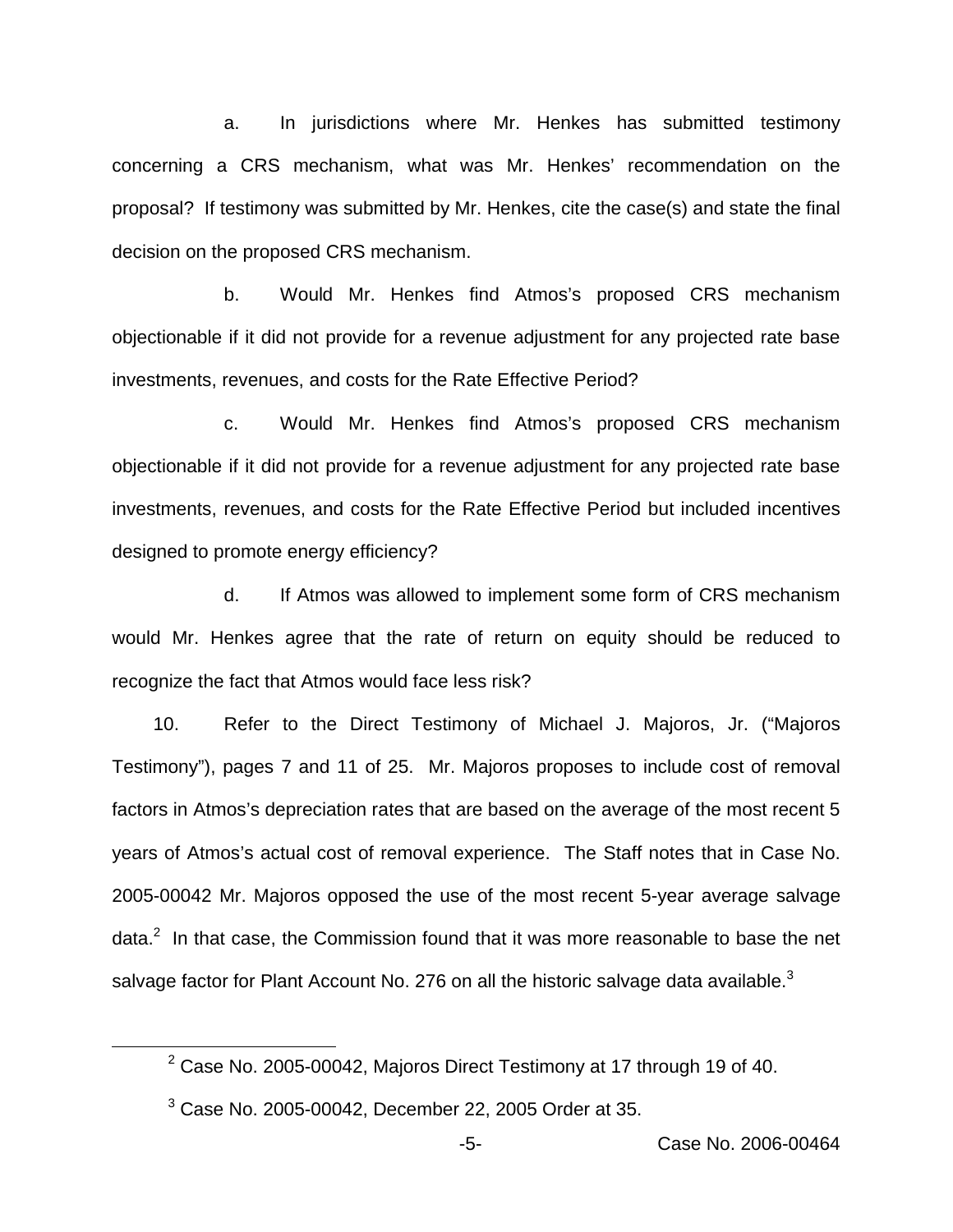a. In jurisdictions where Mr. Henkes has submitted testimony concerning a CRS mechanism, what was Mr. Henkes' recommendation on the proposal? If testimony was submitted by Mr. Henkes, cite the case(s) and state the final decision on the proposed CRS mechanism.

b. Would Mr. Henkes find Atmos's proposed CRS mechanism objectionable if it did not provide for a revenue adjustment for any projected rate base investments, revenues, and costs for the Rate Effective Period?

c. Would Mr. Henkes find Atmos's proposed CRS mechanism objectionable if it did not provide for a revenue adjustment for any projected rate base investments, revenues, and costs for the Rate Effective Period but included incentives designed to promote energy efficiency?

d. If Atmos was allowed to implement some form of CRS mechanism would Mr. Henkes agree that the rate of return on equity should be reduced to recognize the fact that Atmos would face less risk?

10. Refer to the Direct Testimony of Michael J. Majoros, Jr. ("Majoros Testimony"), pages 7 and 11 of 25. Mr. Majoros proposes to include cost of removal factors in Atmos's depreciation rates that are based on the average of the most recent 5 years of Atmos's actual cost of removal experience. The Staff notes that in Case No. 2005-00042 Mr. Majoros opposed the use of the most recent 5-year average salvage data. $<sup>2</sup>$  In that case, the Commission found that it was more reasonable to base the net</sup> salvage factor for Plant Account No. 276 on all the historic salvage data available.<sup>3</sup>

 $2$  Case No. 2005-00042, Majoros Direct Testimony at 17 through 19 of 40.

 $3$  Case No. 2005-00042, December 22, 2005 Order at 35.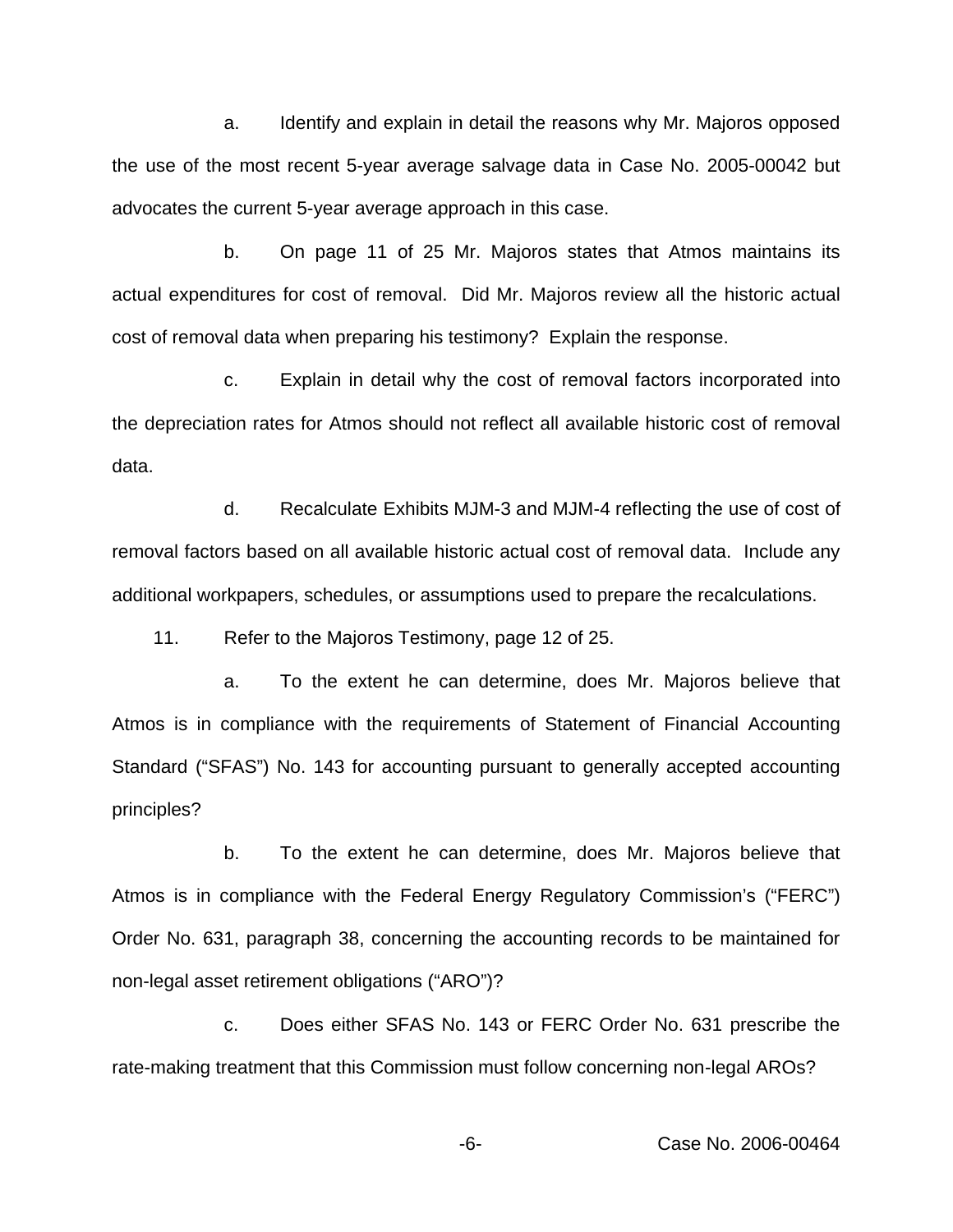a. Identify and explain in detail the reasons why Mr. Majoros opposed the use of the most recent 5-year average salvage data in Case No. 2005-00042 but advocates the current 5-year average approach in this case.

b. On page 11 of 25 Mr. Majoros states that Atmos maintains its actual expenditures for cost of removal. Did Mr. Majoros review all the historic actual cost of removal data when preparing his testimony? Explain the response.

c. Explain in detail why the cost of removal factors incorporated into the depreciation rates for Atmos should not reflect all available historic cost of removal data.

d. Recalculate Exhibits MJM-3 and MJM-4 reflecting the use of cost of removal factors based on all available historic actual cost of removal data. Include any additional workpapers, schedules, or assumptions used to prepare the recalculations.

11. Refer to the Majoros Testimony, page 12 of 25.

a. To the extent he can determine, does Mr. Majoros believe that Atmos is in compliance with the requirements of Statement of Financial Accounting Standard ("SFAS") No. 143 for accounting pursuant to generally accepted accounting principles?

b. To the extent he can determine, does Mr. Majoros believe that Atmos is in compliance with the Federal Energy Regulatory Commission's ("FERC") Order No. 631, paragraph 38, concerning the accounting records to be maintained for non-legal asset retirement obligations ("ARO")?

c. Does either SFAS No. 143 or FERC Order No. 631 prescribe the rate-making treatment that this Commission must follow concerning non-legal AROs?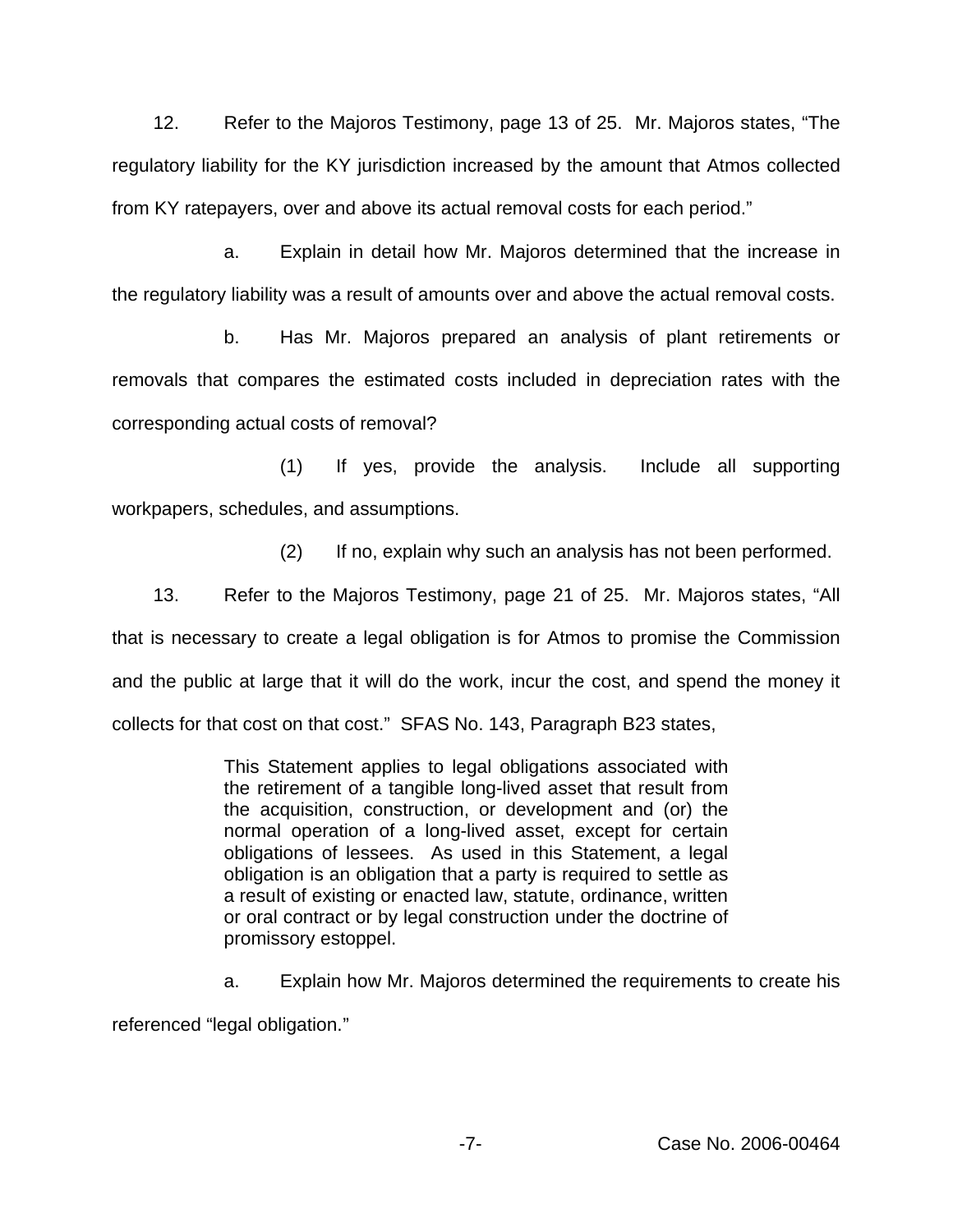12. Refer to the Majoros Testimony, page 13 of 25. Mr. Majoros states, "The regulatory liability for the KY jurisdiction increased by the amount that Atmos collected from KY ratepayers, over and above its actual removal costs for each period."

a. Explain in detail how Mr. Majoros determined that the increase in the regulatory liability was a result of amounts over and above the actual removal costs.

b. Has Mr. Majoros prepared an analysis of plant retirements or removals that compares the estimated costs included in depreciation rates with the corresponding actual costs of removal?

(1) If yes, provide the analysis. Include all supporting workpapers, schedules, and assumptions.

(2) If no, explain why such an analysis has not been performed.

13. Refer to the Majoros Testimony, page 21 of 25. Mr. Majoros states, "All that is necessary to create a legal obligation is for Atmos to promise the Commission and the public at large that it will do the work, incur the cost, and spend the money it collects for that cost on that cost." SFAS No. 143, Paragraph B23 states,

> This Statement applies to legal obligations associated with the retirement of a tangible long-lived asset that result from the acquisition, construction, or development and (or) the normal operation of a long-lived asset, except for certain obligations of lessees. As used in this Statement, a legal obligation is an obligation that a party is required to settle as a result of existing or enacted law, statute, ordinance, written or oral contract or by legal construction under the doctrine of promissory estoppel.

a. Explain how Mr. Majoros determined the requirements to create his referenced "legal obligation."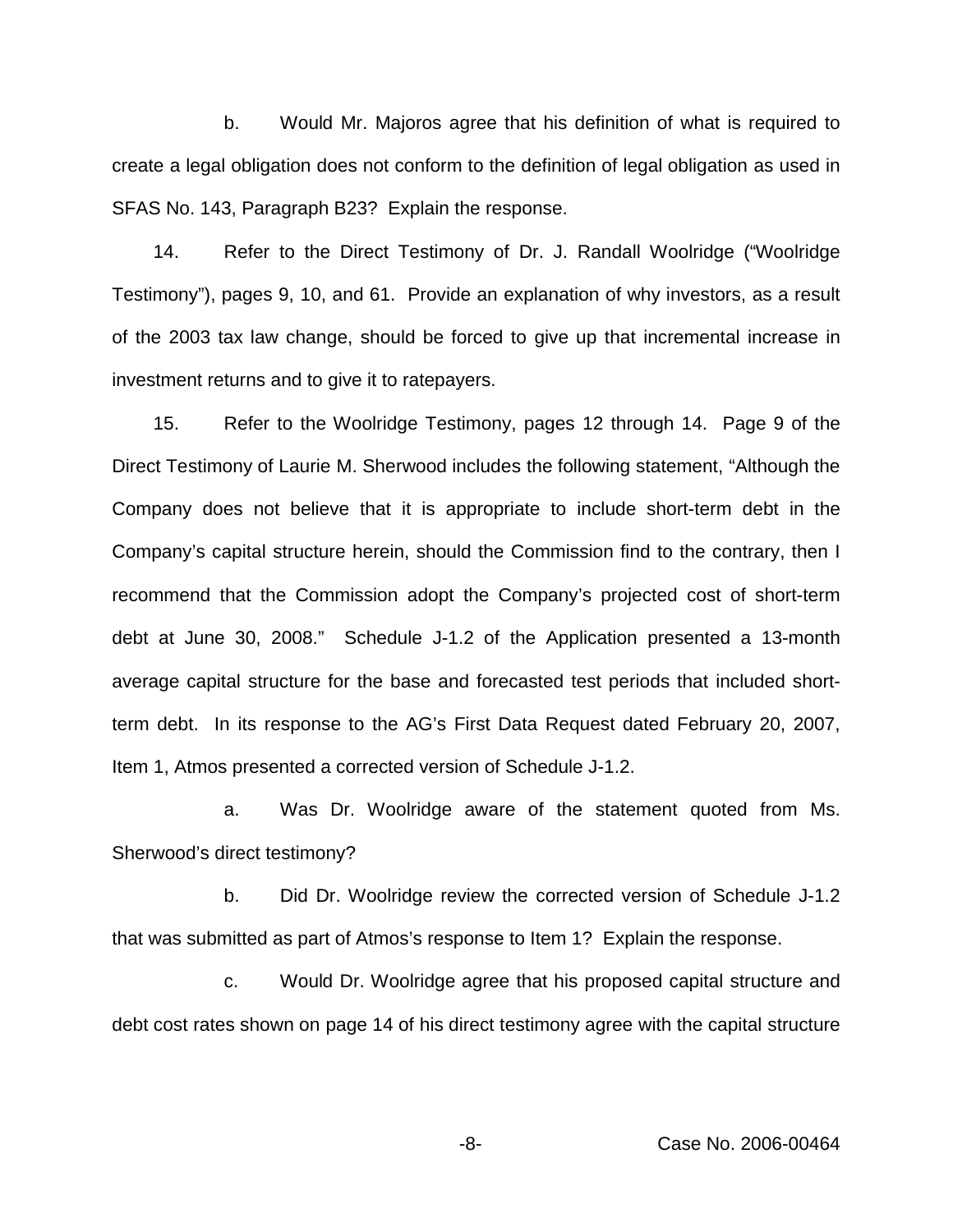b. Would Mr. Majoros agree that his definition of what is required to create a legal obligation does not conform to the definition of legal obligation as used in SFAS No. 143, Paragraph B23? Explain the response.

14. Refer to the Direct Testimony of Dr. J. Randall Woolridge ("Woolridge Testimony"), pages 9, 10, and 61. Provide an explanation of why investors, as a result of the 2003 tax law change, should be forced to give up that incremental increase in investment returns and to give it to ratepayers.

15. Refer to the Woolridge Testimony, pages 12 through 14. Page 9 of the Direct Testimony of Laurie M. Sherwood includes the following statement, "Although the Company does not believe that it is appropriate to include short-term debt in the Company's capital structure herein, should the Commission find to the contrary, then I recommend that the Commission adopt the Company's projected cost of short-term debt at June 30, 2008." Schedule J-1.2 of the Application presented a 13-month average capital structure for the base and forecasted test periods that included shortterm debt. In its response to the AG's First Data Request dated February 20, 2007, Item 1, Atmos presented a corrected version of Schedule J-1.2.

a. Was Dr. Woolridge aware of the statement quoted from Ms. Sherwood's direct testimony?

b. Did Dr. Woolridge review the corrected version of Schedule J-1.2 that was submitted as part of Atmos's response to Item 1? Explain the response.

c. Would Dr. Woolridge agree that his proposed capital structure and debt cost rates shown on page 14 of his direct testimony agree with the capital structure

-8- Case No. 2006-00464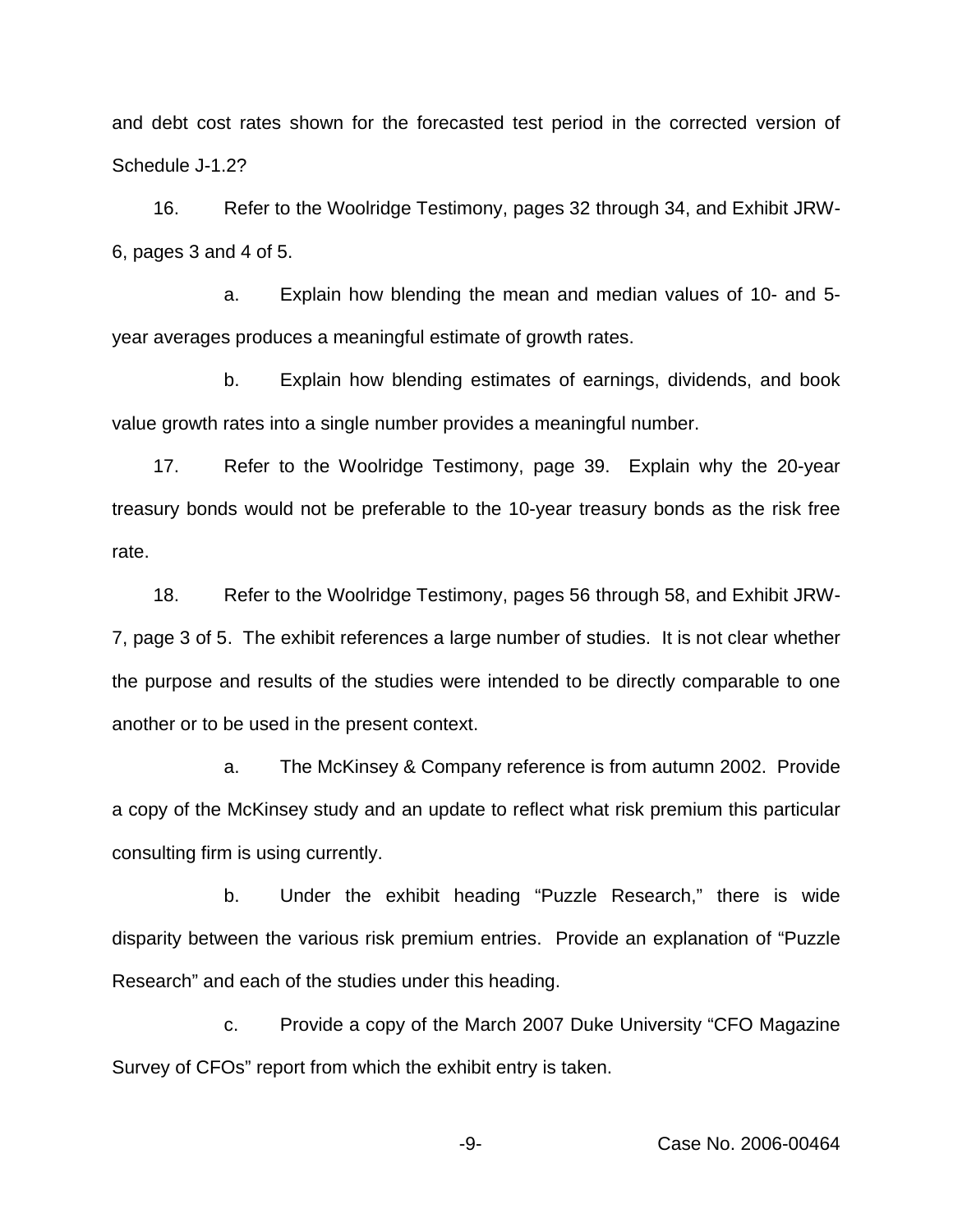and debt cost rates shown for the forecasted test period in the corrected version of Schedule J-1.2?

16. Refer to the Woolridge Testimony, pages 32 through 34, and Exhibit JRW-6, pages 3 and 4 of 5.

a. Explain how blending the mean and median values of 10- and 5 year averages produces a meaningful estimate of growth rates.

b. Explain how blending estimates of earnings, dividends, and book value growth rates into a single number provides a meaningful number.

17. Refer to the Woolridge Testimony, page 39. Explain why the 20-year treasury bonds would not be preferable to the 10-year treasury bonds as the risk free rate.

18. Refer to the Woolridge Testimony, pages 56 through 58, and Exhibit JRW-7, page 3 of 5. The exhibit references a large number of studies. It is not clear whether the purpose and results of the studies were intended to be directly comparable to one another or to be used in the present context.

a. The McKinsey & Company reference is from autumn 2002. Provide a copy of the McKinsey study and an update to reflect what risk premium this particular consulting firm is using currently.

b. Under the exhibit heading "Puzzle Research," there is wide disparity between the various risk premium entries. Provide an explanation of "Puzzle Research" and each of the studies under this heading.

c. Provide a copy of the March 2007 Duke University "CFO Magazine Survey of CFOs" report from which the exhibit entry is taken.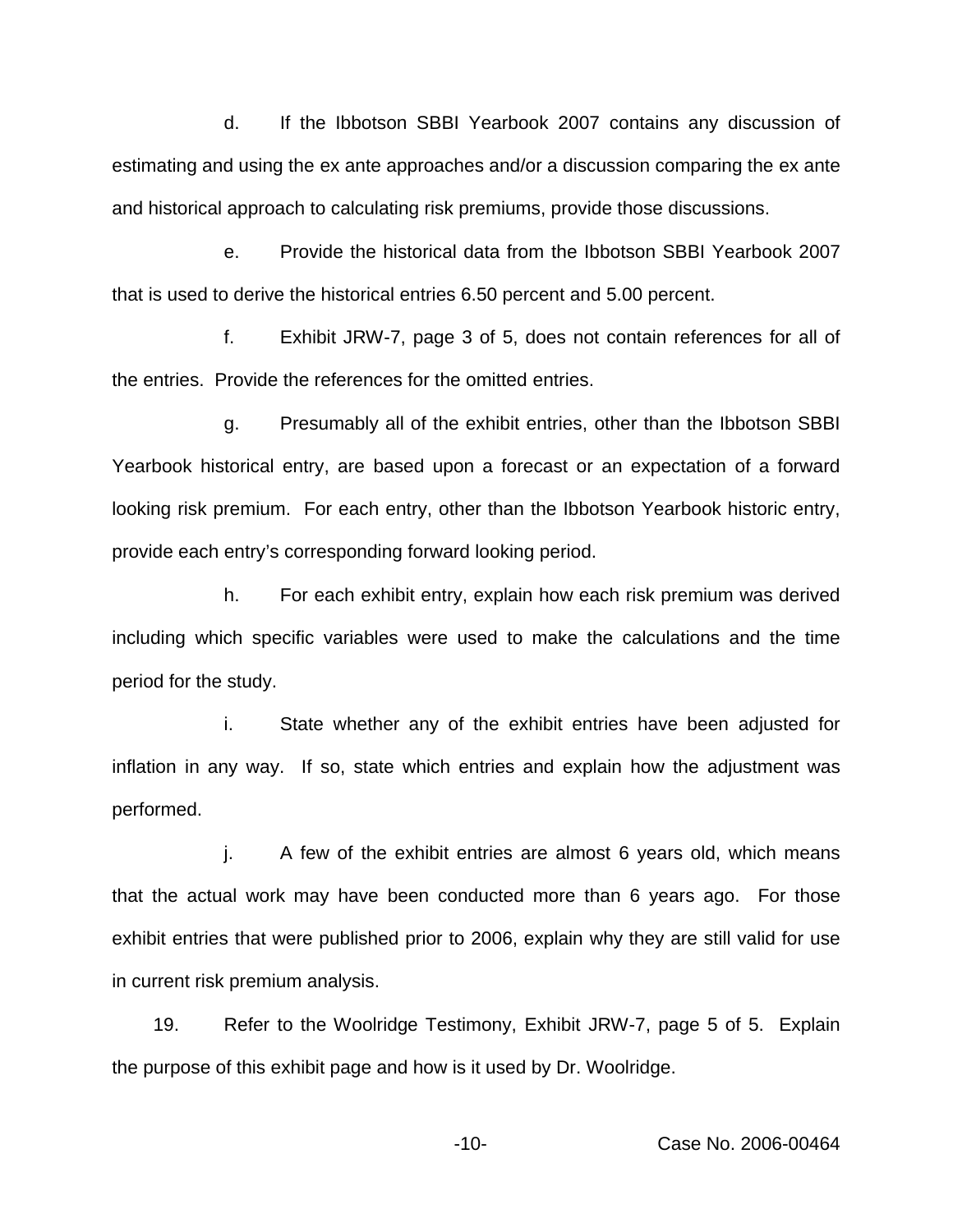d. If the Ibbotson SBBI Yearbook 2007 contains any discussion of estimating and using the ex ante approaches and/or a discussion comparing the ex ante and historical approach to calculating risk premiums, provide those discussions.

e. Provide the historical data from the Ibbotson SBBI Yearbook 2007 that is used to derive the historical entries 6.50 percent and 5.00 percent.

f. Exhibit JRW-7, page 3 of 5, does not contain references for all of the entries. Provide the references for the omitted entries.

g. Presumably all of the exhibit entries, other than the Ibbotson SBBI Yearbook historical entry, are based upon a forecast or an expectation of a forward looking risk premium. For each entry, other than the Ibbotson Yearbook historic entry, provide each entry's corresponding forward looking period.

h. For each exhibit entry, explain how each risk premium was derived including which specific variables were used to make the calculations and the time period for the study.

i. State whether any of the exhibit entries have been adjusted for inflation in any way. If so, state which entries and explain how the adjustment was performed.

j. A few of the exhibit entries are almost 6 years old, which means that the actual work may have been conducted more than 6 years ago. For those exhibit entries that were published prior to 2006, explain why they are still valid for use in current risk premium analysis.

19. Refer to the Woolridge Testimony, Exhibit JRW-7, page 5 of 5. Explain the purpose of this exhibit page and how is it used by Dr. Woolridge.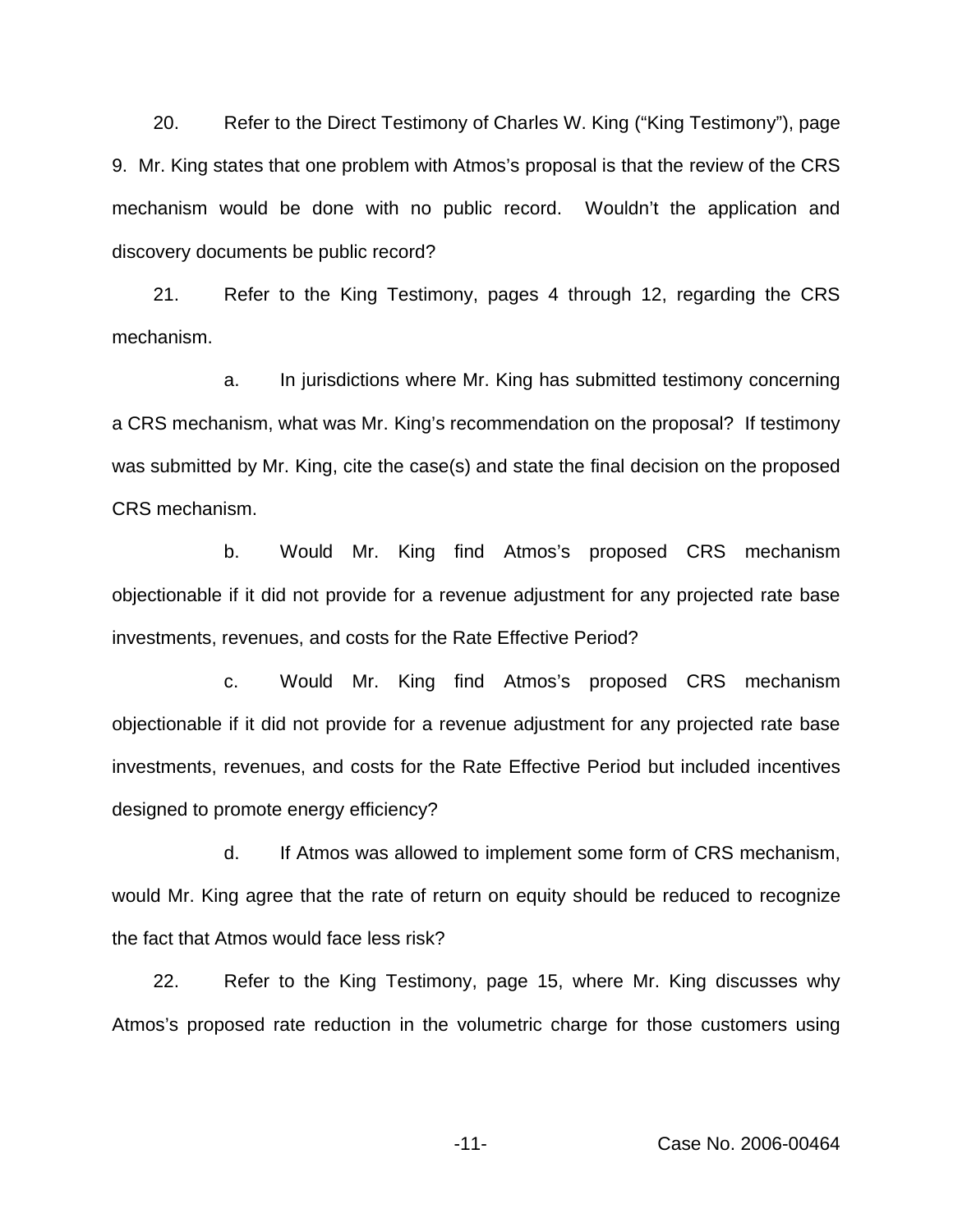20. Refer to the Direct Testimony of Charles W. King ("King Testimony"), page 9. Mr. King states that one problem with Atmos's proposal is that the review of the CRS mechanism would be done with no public record. Wouldn't the application and discovery documents be public record?

21. Refer to the King Testimony, pages 4 through 12, regarding the CRS mechanism.

a. In jurisdictions where Mr. King has submitted testimony concerning a CRS mechanism, what was Mr. King's recommendation on the proposal? If testimony was submitted by Mr. King, cite the case(s) and state the final decision on the proposed CRS mechanism.

b. Would Mr. King find Atmos's proposed CRS mechanism objectionable if it did not provide for a revenue adjustment for any projected rate base investments, revenues, and costs for the Rate Effective Period?

c. Would Mr. King find Atmos's proposed CRS mechanism objectionable if it did not provide for a revenue adjustment for any projected rate base investments, revenues, and costs for the Rate Effective Period but included incentives designed to promote energy efficiency?

d. If Atmos was allowed to implement some form of CRS mechanism, would Mr. King agree that the rate of return on equity should be reduced to recognize the fact that Atmos would face less risk?

22. Refer to the King Testimony, page 15, where Mr. King discusses why Atmos's proposed rate reduction in the volumetric charge for those customers using